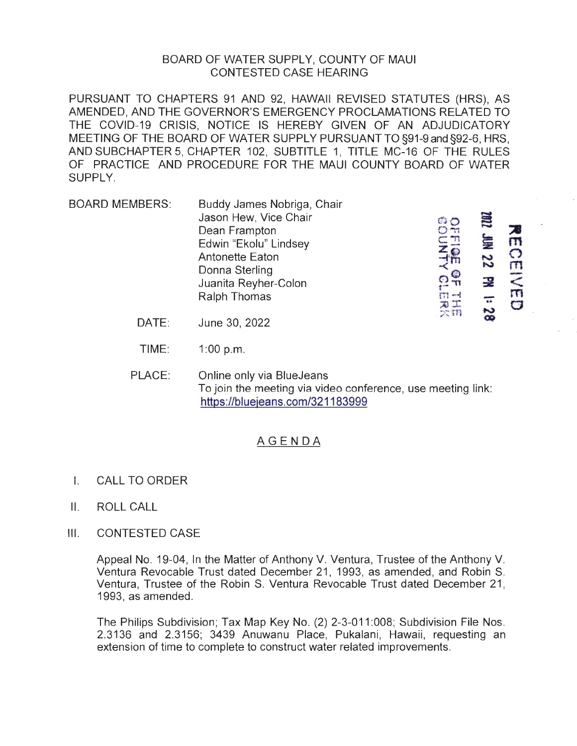## BOARD OF WATER SUPPLY, COUNTY OF MAUI CONTESTED CASE HEARING

PURSUANT TO CHAPTERS 91 AND 92, HAWAII REVISED STATUTES (HRS), AS AMENDED, AND THE GOVERNOR'S EMERGENCY PROCLAMATIONS RELATED TO THE COVID-19 CRISIS, NOTICE IS HEREBY GIVEN OF AN ADJUDICATORY MEETING OF THE BOARD OF WATER SUPPLY PURSUANT TO §91-9 and §92-6, HRS, AND SUBCHAPTER 5, CHAPTER 102, SUBTITLE 1, TITLE MC-16 OF THE RULES OF PRACTICE AND PROCEDURE FOR THE MAUI COUNTY BOARD OF WATER SUPPLY.

- BOARD MEMBERS: Buddy James Nobriga, Chair<br>
Jason Hew, Vice Chair<br>
Dean Frampton s Deady Sames Nobriga; Chair<br>Jason Hew, Vice Chair<br>Dean Frampton Company Company Company<br>Edwin "Ekolu" Lindsey Company Company Company Company Dean Frampton<br>Edwin "Ekolu" Lindsey Dean Frampton<br>Edwin "Ekolu" Lindsey<br>Antonette Eaton Donna Sterling<br>- tuanita Revher-Colon<br>- the New York Sterling  $\frac{Q}{\pi}$ Juanita Reyher-Colon n SZ :1 Nd 22 Ralph Thomas m -• Sulahita Reyner-Colon<br>
Ralph Thomas<br>
June 30, 2022 m  $\bigcirc$  $\frac{1}{2}$  $\sum_{m=1}^{\infty}$ **a** 
	- DATE:
	- TIME: 1 :00 p.m.
	- PLACE: Online only via BlueJeans To join the meeting via video conference, use meeting link: https://bluejeans.com/321183999

## AGENDA

- I. CALL TO ORDER
- II. ROLL CALL
- Ill. CONTESTED CASE

Appeal No. 19-04, In the Matter of Anthony V. Ventura, Trustee of the Anthony V. Ventura Revocable Trust dated December 21, 1993, as amended, and Robin S. Ventura, Trustee of the Robin S. Ventura Revocable Trust dated December 21 , 1993, as amended.

The Philips Subdivision; Tax Map Key No. (2) 2-3-011:008; Subdivision File Nos. 2.3136 and 2.3156; 3439 Anuwanu Place, Pukalani, Hawaii, requesting an extension of time to complete to construct water related improvements.